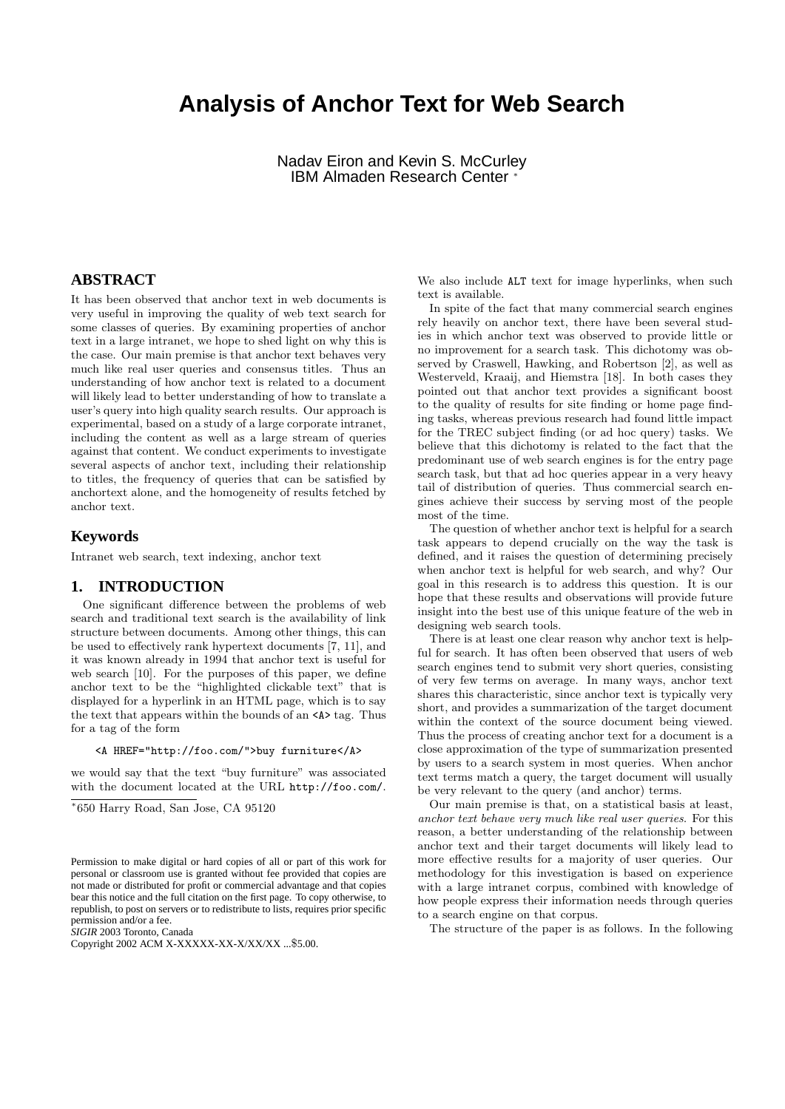# **Analysis of Anchor Text for Web Search**

Nadav Eiron and Kevin S. McCurley IBM Almaden Research Center <sup>∗</sup>

## **ABSTRACT**

It has been observed that anchor text in web documents is very useful in improving the quality of web text search for some classes of queries. By examining properties of anchor text in a large intranet, we hope to shed light on why this is the case. Our main premise is that anchor text behaves very much like real user queries and consensus titles. Thus an understanding of how anchor text is related to a document will likely lead to better understanding of how to translate a user's query into high quality search results. Our approach is experimental, based on a study of a large corporate intranet, including the content as well as a large stream of queries against that content. We conduct experiments to investigate several aspects of anchor text, including their relationship to titles, the frequency of queries that can be satisfied by anchortext alone, and the homogeneity of results fetched by anchor text.

#### **Keywords**

Intranet web search, text indexing, anchor text

## **1. INTRODUCTION**

One significant difference between the problems of web search and traditional text search is the availability of link structure between documents. Among other things, this can be used to effectively rank hypertext documents [7, 11], and it was known already in 1994 that anchor text is useful for web search [10]. For the purposes of this paper, we define anchor text to be the "highlighted clickable text" that is displayed for a hyperlink in an HTML page, which is to say the text that appears within the bounds of an <A> tag. Thus for a tag of the form

#### <A HREF="http://foo.com/">buy furniture</A>

we would say that the text "buy furniture" was associated with the document located at the URL http://foo.com/.

∗ 650 Harry Road, San Jose, CA 95120

*SIGIR* 2003 Toronto, Canada

We also include ALT text for image hyperlinks, when such text is available.

In spite of the fact that many commercial search engines rely heavily on anchor text, there have been several studies in which anchor text was observed to provide little or no improvement for a search task. This dichotomy was observed by Craswell, Hawking, and Robertson [2], as well as Westerveld, Kraaij, and Hiemstra [18]. In both cases they pointed out that anchor text provides a significant boost to the quality of results for site finding or home page finding tasks, whereas previous research had found little impact for the TREC subject finding (or ad hoc query) tasks. We believe that this dichotomy is related to the fact that the predominant use of web search engines is for the entry page search task, but that ad hoc queries appear in a very heavy tail of distribution of queries. Thus commercial search engines achieve their success by serving most of the people most of the time.

The question of whether anchor text is helpful for a search task appears to depend crucially on the way the task is defined, and it raises the question of determining precisely when anchor text is helpful for web search, and why? Our goal in this research is to address this question. It is our hope that these results and observations will provide future insight into the best use of this unique feature of the web in designing web search tools.

There is at least one clear reason why anchor text is helpful for search. It has often been observed that users of web search engines tend to submit very short queries, consisting of very few terms on average. In many ways, anchor text shares this characteristic, since anchor text is typically very short, and provides a summarization of the target document within the context of the source document being viewed. Thus the process of creating anchor text for a document is a close approximation of the type of summarization presented by users to a search system in most queries. When anchor text terms match a query, the target document will usually be very relevant to the query (and anchor) terms.

Our main premise is that, on a statistical basis at least, anchor text behave very much like real user queries. For this reason, a better understanding of the relationship between anchor text and their target documents will likely lead to more effective results for a majority of user queries. Our methodology for this investigation is based on experience with a large intranet corpus, combined with knowledge of how people express their information needs through queries to a search engine on that corpus.

The structure of the paper is as follows. In the following

Permission to make digital or hard copies of all or part of this work for personal or classroom use is granted without fee provided that copies are not made or distributed for profit or commercial advantage and that copies bear this notice and the full citation on the first page. To copy otherwise, to republish, to post on servers or to redistribute to lists, requires prior specific permission and/or a fee.

Copyright 2002 ACM X-XXXXX-XX-X/XX/XX ...\$5.00.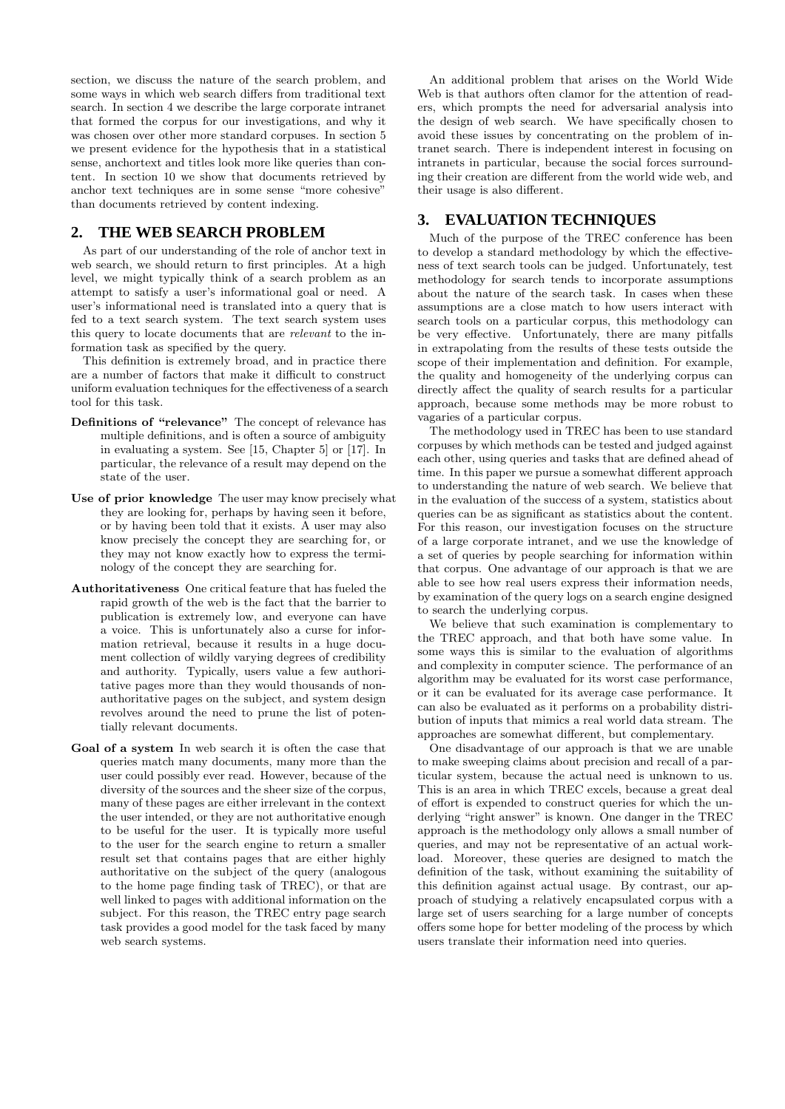section, we discuss the nature of the search problem, and some ways in which web search differs from traditional text search. In section 4 we describe the large corporate intranet that formed the corpus for our investigations, and why it was chosen over other more standard corpuses. In section 5 we present evidence for the hypothesis that in a statistical sense, anchortext and titles look more like queries than content. In section 10 we show that documents retrieved by anchor text techniques are in some sense "more cohesive" than documents retrieved by content indexing.

## **2. THE WEB SEARCH PROBLEM**

As part of our understanding of the role of anchor text in web search, we should return to first principles. At a high level, we might typically think of a search problem as an attempt to satisfy a user's informational goal or need. A user's informational need is translated into a query that is fed to a text search system. The text search system uses this query to locate documents that are relevant to the information task as specified by the query.

This definition is extremely broad, and in practice there are a number of factors that make it difficult to construct uniform evaluation techniques for the effectiveness of a search tool for this task.

- Definitions of "relevance" The concept of relevance has multiple definitions, and is often a source of ambiguity in evaluating a system. See [15, Chapter 5] or [17]. In particular, the relevance of a result may depend on the state of the user.
- Use of prior knowledge The user may know precisely what they are looking for, perhaps by having seen it before, or by having been told that it exists. A user may also know precisely the concept they are searching for, or they may not know exactly how to express the terminology of the concept they are searching for.
- Authoritativeness One critical feature that has fueled the rapid growth of the web is the fact that the barrier to publication is extremely low, and everyone can have a voice. This is unfortunately also a curse for information retrieval, because it results in a huge document collection of wildly varying degrees of credibility and authority. Typically, users value a few authoritative pages more than they would thousands of nonauthoritative pages on the subject, and system design revolves around the need to prune the list of potentially relevant documents.
- Goal of a system In web search it is often the case that queries match many documents, many more than the user could possibly ever read. However, because of the diversity of the sources and the sheer size of the corpus, many of these pages are either irrelevant in the context the user intended, or they are not authoritative enough to be useful for the user. It is typically more useful to the user for the search engine to return a smaller result set that contains pages that are either highly authoritative on the subject of the query (analogous to the home page finding task of TREC), or that are well linked to pages with additional information on the subject. For this reason, the TREC entry page search task provides a good model for the task faced by many web search systems.

An additional problem that arises on the World Wide Web is that authors often clamor for the attention of readers, which prompts the need for adversarial analysis into the design of web search. We have specifically chosen to avoid these issues by concentrating on the problem of intranet search. There is independent interest in focusing on intranets in particular, because the social forces surrounding their creation are different from the world wide web, and their usage is also different.

## **3. EVALUATION TECHNIQUES**

Much of the purpose of the TREC conference has been to develop a standard methodology by which the effectiveness of text search tools can be judged. Unfortunately, test methodology for search tends to incorporate assumptions about the nature of the search task. In cases when these assumptions are a close match to how users interact with search tools on a particular corpus, this methodology can be very effective. Unfortunately, there are many pitfalls in extrapolating from the results of these tests outside the scope of their implementation and definition. For example, the quality and homogeneity of the underlying corpus can directly affect the quality of search results for a particular approach, because some methods may be more robust to vagaries of a particular corpus.

The methodology used in TREC has been to use standard corpuses by which methods can be tested and judged against each other, using queries and tasks that are defined ahead of time. In this paper we pursue a somewhat different approach to understanding the nature of web search. We believe that in the evaluation of the success of a system, statistics about queries can be as significant as statistics about the content. For this reason, our investigation focuses on the structure of a large corporate intranet, and we use the knowledge of a set of queries by people searching for information within that corpus. One advantage of our approach is that we are able to see how real users express their information needs, by examination of the query logs on a search engine designed to search the underlying corpus.

We believe that such examination is complementary to the TREC approach, and that both have some value. In some ways this is similar to the evaluation of algorithms and complexity in computer science. The performance of an algorithm may be evaluated for its worst case performance, or it can be evaluated for its average case performance. It can also be evaluated as it performs on a probability distribution of inputs that mimics a real world data stream. The approaches are somewhat different, but complementary.

One disadvantage of our approach is that we are unable to make sweeping claims about precision and recall of a particular system, because the actual need is unknown to us. This is an area in which TREC excels, because a great deal of effort is expended to construct queries for which the underlying "right answer" is known. One danger in the TREC approach is the methodology only allows a small number of queries, and may not be representative of an actual workload. Moreover, these queries are designed to match the definition of the task, without examining the suitability of this definition against actual usage. By contrast, our approach of studying a relatively encapsulated corpus with a large set of users searching for a large number of concepts offers some hope for better modeling of the process by which users translate their information need into queries.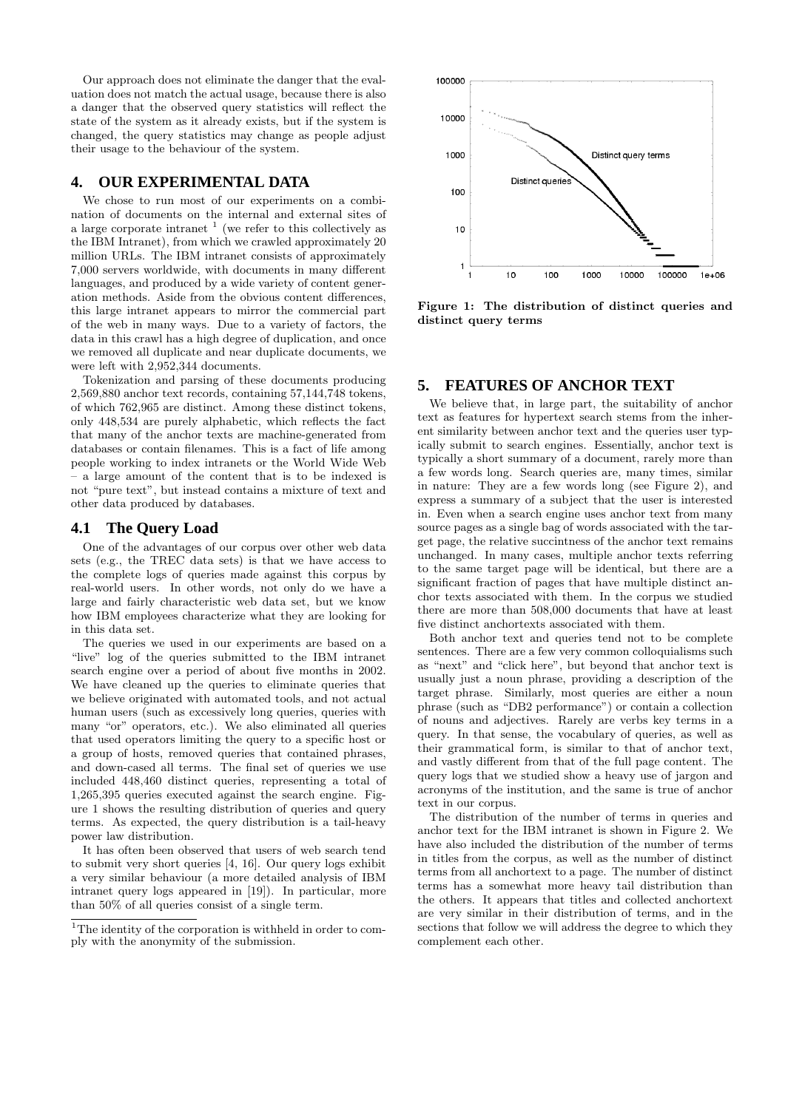Our approach does not eliminate the danger that the evaluation does not match the actual usage, because there is also a danger that the observed query statistics will reflect the state of the system as it already exists, but if the system is changed, the query statistics may change as people adjust their usage to the behaviour of the system.

## **4. OUR EXPERIMENTAL DATA**

We chose to run most of our experiments on a combination of documents on the internal and external sites of a large corporate intranet  $<sup>1</sup>$  (we refer to this collectively as</sup> the IBM Intranet), from which we crawled approximately 20 million URLs. The IBM intranet consists of approximately 7,000 servers worldwide, with documents in many different languages, and produced by a wide variety of content generation methods. Aside from the obvious content differences, this large intranet appears to mirror the commercial part of the web in many ways. Due to a variety of factors, the data in this crawl has a high degree of duplication, and once we removed all duplicate and near duplicate documents, we were left with 2,952,344 documents.

Tokenization and parsing of these documents producing 2,569,880 anchor text records, containing 57,144,748 tokens, of which 762,965 are distinct. Among these distinct tokens, only 448,534 are purely alphabetic, which reflects the fact that many of the anchor texts are machine-generated from databases or contain filenames. This is a fact of life among people working to index intranets or the World Wide Web – a large amount of the content that is to be indexed is not "pure text", but instead contains a mixture of text and other data produced by databases.

## **4.1 The Query Load**

One of the advantages of our corpus over other web data sets (e.g., the TREC data sets) is that we have access to the complete logs of queries made against this corpus by real-world users. In other words, not only do we have a large and fairly characteristic web data set, but we know how IBM employees characterize what they are looking for in this data set.

The queries we used in our experiments are based on a "live" log of the queries submitted to the IBM intranet search engine over a period of about five months in 2002. We have cleaned up the queries to eliminate queries that we believe originated with automated tools, and not actual human users (such as excessively long queries, queries with many "or" operators, etc.). We also eliminated all queries that used operators limiting the query to a specific host or a group of hosts, removed queries that contained phrases, and down-cased all terms. The final set of queries we use included 448,460 distinct queries, representing a total of 1,265,395 queries executed against the search engine. Figure 1 shows the resulting distribution of queries and query terms. As expected, the query distribution is a tail-heavy power law distribution.

It has often been observed that users of web search tend to submit very short queries [4, 16]. Our query logs exhibit a very similar behaviour (a more detailed analysis of IBM intranet query logs appeared in [19]). In particular, more than 50% of all queries consist of a single term.



Figure 1: The distribution of distinct queries and distinct query terms

## **5. FEATURES OF ANCHOR TEXT**

We believe that, in large part, the suitability of anchor text as features for hypertext search stems from the inherent similarity between anchor text and the queries user typically submit to search engines. Essentially, anchor text is typically a short summary of a document, rarely more than a few words long. Search queries are, many times, similar in nature: They are a few words long (see Figure 2), and express a summary of a subject that the user is interested in. Even when a search engine uses anchor text from many source pages as a single bag of words associated with the target page, the relative succintness of the anchor text remains unchanged. In many cases, multiple anchor texts referring to the same target page will be identical, but there are a significant fraction of pages that have multiple distinct anchor texts associated with them. In the corpus we studied there are more than 508,000 documents that have at least five distinct anchortexts associated with them.

Both anchor text and queries tend not to be complete sentences. There are a few very common colloquialisms such as "next" and "click here", but beyond that anchor text is usually just a noun phrase, providing a description of the target phrase. Similarly, most queries are either a noun phrase (such as "DB2 performance") or contain a collection of nouns and adjectives. Rarely are verbs key terms in a query. In that sense, the vocabulary of queries, as well as their grammatical form, is similar to that of anchor text, and vastly different from that of the full page content. The query logs that we studied show a heavy use of jargon and acronyms of the institution, and the same is true of anchor text in our corpus.

The distribution of the number of terms in queries and anchor text for the IBM intranet is shown in Figure 2. We have also included the distribution of the number of terms in titles from the corpus, as well as the number of distinct terms from all anchortext to a page. The number of distinct terms has a somewhat more heavy tail distribution than the others. It appears that titles and collected anchortext are very similar in their distribution of terms, and in the sections that follow we will address the degree to which they complement each other.

<sup>&</sup>lt;sup>1</sup>The identity of the corporation is withheld in order to comply with the anonymity of the submission.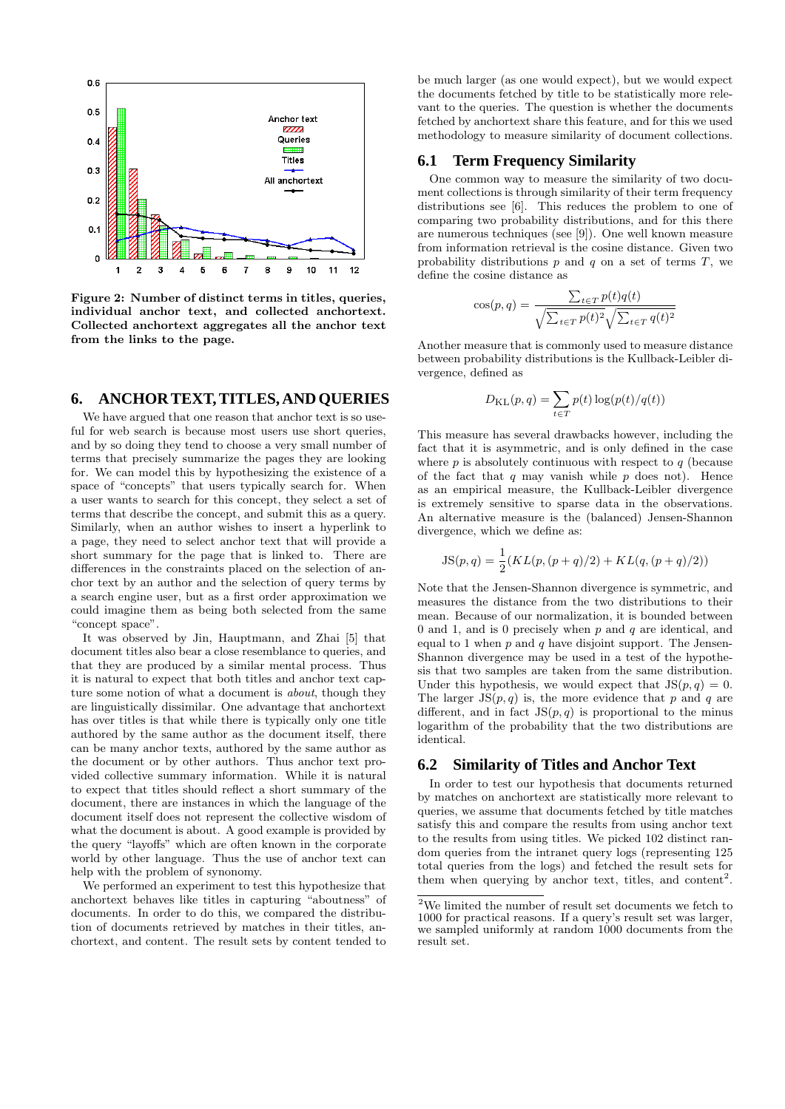

Figure 2: Number of distinct terms in titles, queries, individual anchor text, and collected anchortext. Collected anchortext aggregates all the anchor text from the links to the page.

## **6. ANCHOR TEXT, TITLES, AND QUERIES**

We have argued that one reason that anchor text is so useful for web search is because most users use short queries, and by so doing they tend to choose a very small number of terms that precisely summarize the pages they are looking for. We can model this by hypothesizing the existence of a space of "concepts" that users typically search for. When a user wants to search for this concept, they select a set of terms that describe the concept, and submit this as a query. Similarly, when an author wishes to insert a hyperlink to a page, they need to select anchor text that will provide a short summary for the page that is linked to. There are differences in the constraints placed on the selection of anchor text by an author and the selection of query terms by a search engine user, but as a first order approximation we could imagine them as being both selected from the same "concept space".

It was observed by Jin, Hauptmann, and Zhai [5] that document titles also bear a close resemblance to queries, and that they are produced by a similar mental process. Thus it is natural to expect that both titles and anchor text capture some notion of what a document is *about*, though they are linguistically dissimilar. One advantage that anchortext has over titles is that while there is typically only one title authored by the same author as the document itself, there can be many anchor texts, authored by the same author as the document or by other authors. Thus anchor text provided collective summary information. While it is natural to expect that titles should reflect a short summary of the document, there are instances in which the language of the document itself does not represent the collective wisdom of what the document is about. A good example is provided by the query "layoffs" which are often known in the corporate world by other language. Thus the use of anchor text can help with the problem of synonomy.

We performed an experiment to test this hypothesize that anchortext behaves like titles in capturing "aboutness" of documents. In order to do this, we compared the distribution of documents retrieved by matches in their titles, anchortext, and content. The result sets by content tended to

be much larger (as one would expect), but we would expect the documents fetched by title to be statistically more relevant to the queries. The question is whether the documents fetched by anchortext share this feature, and for this we used methodology to measure similarity of document collections.

#### **6.1 Term Frequency Similarity**

One common way to measure the similarity of two document collections is through similarity of their term frequency distributions see [6]. This reduces the problem to one of comparing two probability distributions, and for this there are numerous techniques (see [9]). One well known measure from information retrieval is the cosine distance. Given two probability distributions  $p$  and  $q$  on a set of terms  $T$ , we define the cosine distance as

$$
\cos(p,q) = \frac{\sum_{t \in T} p(t)q(t)}{\sqrt{\sum_{t \in T} p(t)^2} \sqrt{\sum_{t \in T} q(t)^2}}
$$

Another measure that is commonly used to measure distance between probability distributions is the Kullback-Leibler divergence, defined as

$$
D_{\mathrm{KL}}(p,q) = \sum_{t \in T} p(t) \log(p(t)/q(t))
$$

This measure has several drawbacks however, including the fact that it is asymmetric, and is only defined in the case where  $p$  is absolutely continuous with respect to  $q$  (because of the fact that  $q$  may vanish while  $p$  does not). Hence as an empirical measure, the Kullback-Leibler divergence is extremely sensitive to sparse data in the observations. An alternative measure is the (balanced) Jensen-Shannon divergence, which we define as:

$$
JS(p,q) = \frac{1}{2}(KL(p, (p+q)/2) + KL(q, (p+q)/2))
$$

Note that the Jensen-Shannon divergence is symmetric, and measures the distance from the two distributions to their mean. Because of our normalization, it is bounded between 0 and 1, and is 0 precisely when  $p$  and  $q$  are identical, and equal to 1 when p and q have disjoint support. The Jensen-Shannon divergence may be used in a test of the hypothesis that two samples are taken from the same distribution. Under this hypothesis, we would expect that  $JS(p, q) = 0$ . The larger  $JS(p, q)$  is, the more evidence that p and q are different, and in fact  $JS(p, q)$  is proportional to the minus logarithm of the probability that the two distributions are identical.

#### **6.2 Similarity of Titles and Anchor Text**

In order to test our hypothesis that documents returned by matches on anchortext are statistically more relevant to queries, we assume that documents fetched by title matches satisfy this and compare the results from using anchor text to the results from using titles. We picked 102 distinct random queries from the intranet query logs (representing 125 total queries from the logs) and fetched the result sets for them when querying by anchor text, titles, and content<sup>2</sup>.

 $^{2}\mathrm{We}$  limited the number of result set documents we fetch to 1000 for practical reasons. If a query's result set was larger, we sampled uniformly at random 1000 documents from the result set.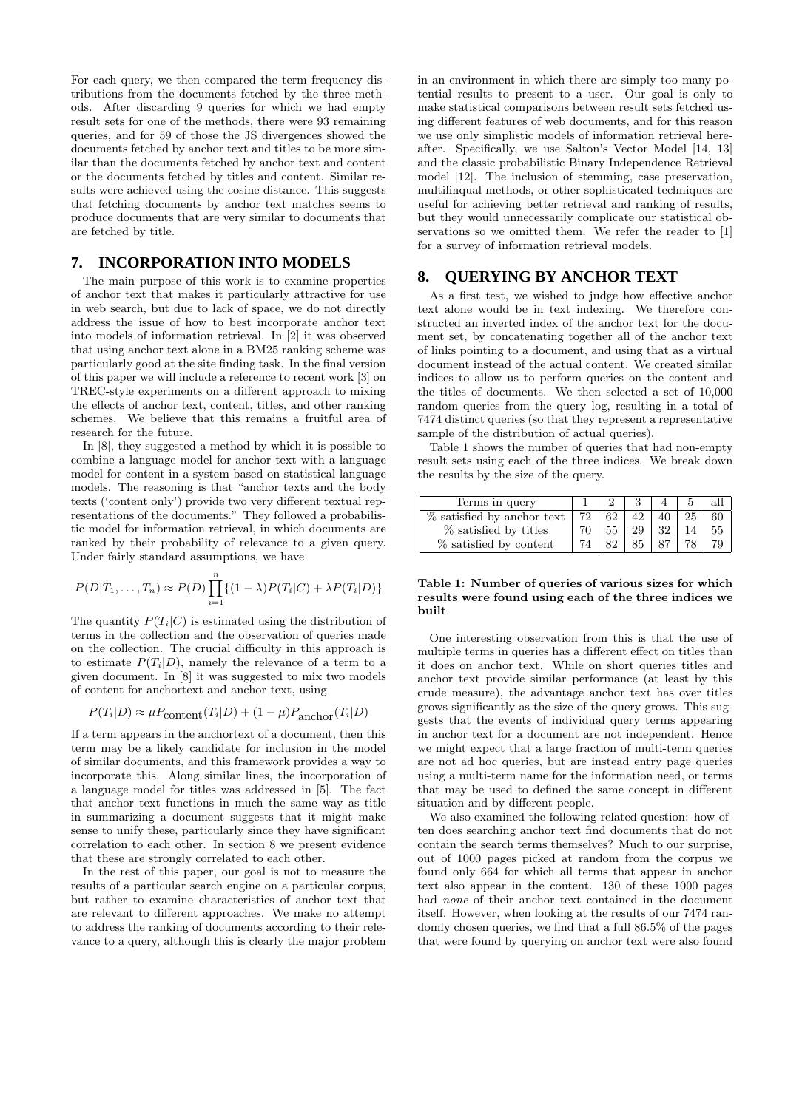For each query, we then compared the term frequency distributions from the documents fetched by the three methods. After discarding 9 queries for which we had empty result sets for one of the methods, there were 93 remaining queries, and for 59 of those the JS divergences showed the documents fetched by anchor text and titles to be more similar than the documents fetched by anchor text and content or the documents fetched by titles and content. Similar results were achieved using the cosine distance. This suggests that fetching documents by anchor text matches seems to produce documents that are very similar to documents that are fetched by title.

## **7. INCORPORATION INTO MODELS**

The main purpose of this work is to examine properties of anchor text that makes it particularly attractive for use in web search, but due to lack of space, we do not directly address the issue of how to best incorporate anchor text into models of information retrieval. In [2] it was observed that using anchor text alone in a BM25 ranking scheme was particularly good at the site finding task. In the final version of this paper we will include a reference to recent work [3] on TREC-style experiments on a different approach to mixing the effects of anchor text, content, titles, and other ranking schemes. We believe that this remains a fruitful area of research for the future.

In [8], they suggested a method by which it is possible to combine a language model for anchor text with a language model for content in a system based on statistical language models. The reasoning is that "anchor texts and the body texts ('content only') provide two very different textual representations of the documents." They followed a probabilistic model for information retrieval, in which documents are ranked by their probability of relevance to a given query. Under fairly standard assumptions, we have

$$
P(D|T_1,\ldots,T_n) \approx P(D) \prod_{i=1}^n \{(1-\lambda)P(T_i|C) + \lambda P(T_i|D)\}
$$

The quantity  $P(T_i|C)$  is estimated using the distribution of terms in the collection and the observation of queries made on the collection. The crucial difficulty in this approach is to estimate  $P(T_i|D)$ , namely the relevance of a term to a given document. In [8] it was suggested to mix two models of content for anchortext and anchor text, using

$$
P(T_i|D) \approx \mu P_{\text{content}}(T_i|D) + (1 - \mu)P_{\text{anchor}}(T_i|D)
$$

If a term appears in the anchortext of a document, then this term may be a likely candidate for inclusion in the model of similar documents, and this framework provides a way to incorporate this. Along similar lines, the incorporation of a language model for titles was addressed in [5]. The fact that anchor text functions in much the same way as title in summarizing a document suggests that it might make sense to unify these, particularly since they have significant correlation to each other. In section 8 we present evidence that these are strongly correlated to each other.

In the rest of this paper, our goal is not to measure the results of a particular search engine on a particular corpus, but rather to examine characteristics of anchor text that are relevant to different approaches. We make no attempt to address the ranking of documents according to their relevance to a query, although this is clearly the major problem in an environment in which there are simply too many potential results to present to a user. Our goal is only to make statistical comparisons between result sets fetched using different features of web documents, and for this reason we use only simplistic models of information retrieval hereafter. Specifically, we use Salton's Vector Model [14, 13] and the classic probabilistic Binary Independence Retrieval model [12]. The inclusion of stemming, case preservation, multilinqual methods, or other sophisticated techniques are useful for achieving better retrieval and ranking of results, but they would unnecessarily complicate our statistical observations so we omitted them. We refer the reader to [1] for a survey of information retrieval models.

#### **8. QUERYING BY ANCHOR TEXT**

As a first test, we wished to judge how effective anchor text alone would be in text indexing. We therefore constructed an inverted index of the anchor text for the document set, by concatenating together all of the anchor text of links pointing to a document, and using that as a virtual document instead of the actual content. We created similar indices to allow us to perform queries on the content and the titles of documents. We then selected a set of 10,000 random queries from the query log, resulting in a total of 7474 distinct queries (so that they represent a representative sample of the distribution of actual queries).

Table 1 shows the number of queries that had non-empty result sets using each of the three indices. We break down the results by the size of the query.

| Terms in query                |       |        |    |          |      | all |
|-------------------------------|-------|--------|----|----------|------|-----|
| $\%$ satisfied by anchor text | $-72$ | 62     | 42 | 40       | 25 L | 60  |
| % satisfied by titles         | 70    | $55-1$ |    | 29 32 14 |      | 55  |
| % satisfied by content        | 74    | 82     | 85 | 87       |      |     |

#### Table 1: Number of queries of various sizes for which results were found using each of the three indices we built

One interesting observation from this is that the use of multiple terms in queries has a different effect on titles than it does on anchor text. While on short queries titles and anchor text provide similar performance (at least by this crude measure), the advantage anchor text has over titles grows significantly as the size of the query grows. This suggests that the events of individual query terms appearing in anchor text for a document are not independent. Hence we might expect that a large fraction of multi-term queries are not ad hoc queries, but are instead entry page queries using a multi-term name for the information need, or terms that may be used to defined the same concept in different situation and by different people.

We also examined the following related question: how often does searching anchor text find documents that do not contain the search terms themselves? Much to our surprise, out of 1000 pages picked at random from the corpus we found only 664 for which all terms that appear in anchor text also appear in the content. 130 of these 1000 pages had none of their anchor text contained in the document itself. However, when looking at the results of our 7474 randomly chosen queries, we find that a full 86.5% of the pages that were found by querying on anchor text were also found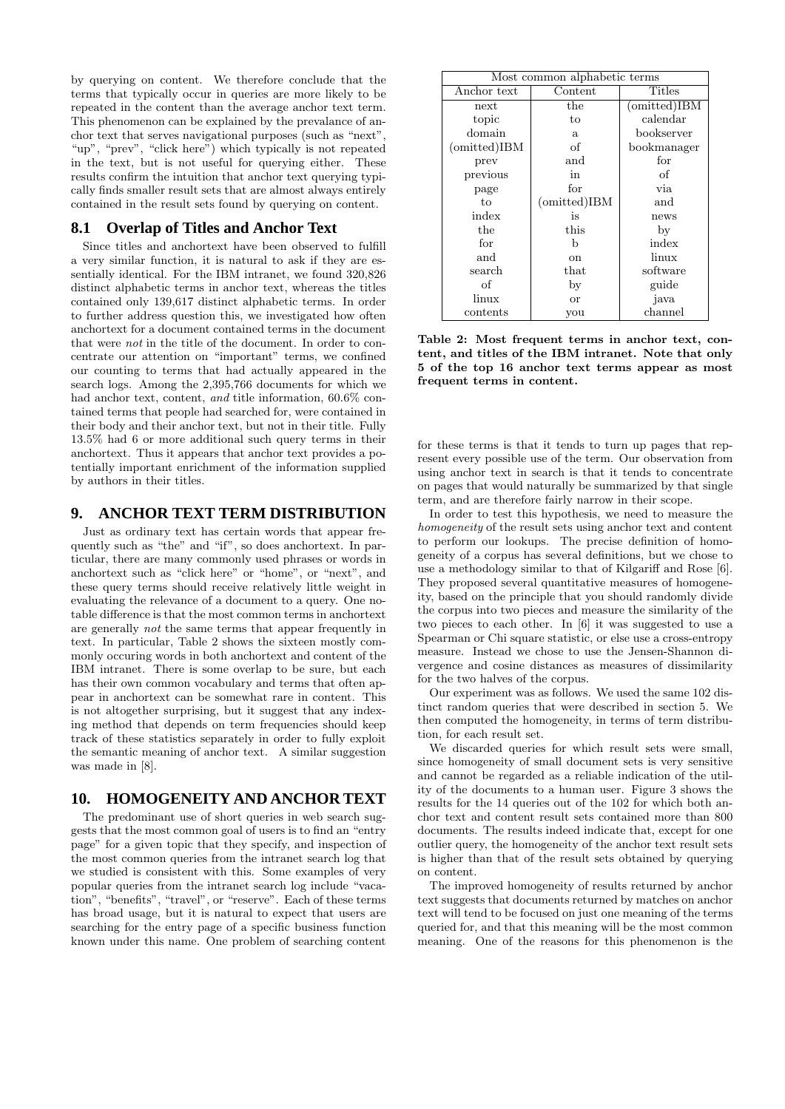by querying on content. We therefore conclude that the terms that typically occur in queries are more likely to be repeated in the content than the average anchor text term. This phenomenon can be explained by the prevalance of anchor text that serves navigational purposes (such as "next", "up", "prev", "click here") which typically is not repeated in the text, but is not useful for querying either. These results confirm the intuition that anchor text querying typically finds smaller result sets that are almost always entirely contained in the result sets found by querying on content.

#### **8.1 Overlap of Titles and Anchor Text**

Since titles and anchortext have been observed to fulfill a very similar function, it is natural to ask if they are essentially identical. For the IBM intranet, we found 320,826 distinct alphabetic terms in anchor text, whereas the titles contained only 139,617 distinct alphabetic terms. In order to further address question this, we investigated how often anchortext for a document contained terms in the document that were not in the title of the document. In order to concentrate our attention on "important" terms, we confined our counting to terms that had actually appeared in the search logs. Among the 2,395,766 documents for which we had anchor text, content, and title information,  $60.6\%$  contained terms that people had searched for, were contained in their body and their anchor text, but not in their title. Fully 13.5% had 6 or more additional such query terms in their anchortext. Thus it appears that anchor text provides a potentially important enrichment of the information supplied by authors in their titles.

## **9. ANCHOR TEXT TERM DISTRIBUTION**

Just as ordinary text has certain words that appear frequently such as "the" and "if", so does anchortext. In particular, there are many commonly used phrases or words in anchortext such as "click here" or "home", or "next", and these query terms should receive relatively little weight in evaluating the relevance of a document to a query. One notable difference is that the most common terms in anchortext are generally not the same terms that appear frequently in text. In particular, Table 2 shows the sixteen mostly commonly occuring words in both anchortext and content of the IBM intranet. There is some overlap to be sure, but each has their own common vocabulary and terms that often appear in anchortext can be somewhat rare in content. This is not altogether surprising, but it suggest that any indexing method that depends on term frequencies should keep track of these statistics separately in order to fully exploit the semantic meaning of anchor text. A similar suggestion was made in [8].

## **10. HOMOGENEITY AND ANCHOR TEXT**

The predominant use of short queries in web search suggests that the most common goal of users is to find an "entry page" for a given topic that they specify, and inspection of the most common queries from the intranet search log that we studied is consistent with this. Some examples of very popular queries from the intranet search log include "vacation", "benefits", "travel", or "reserve". Each of these terms has broad usage, but it is natural to expect that users are searching for the entry page of a specific business function known under this name. One problem of searching content

| Most common alphabetic terms |                          |              |  |  |  |
|------------------------------|--------------------------|--------------|--|--|--|
| Anchor text                  | $\operatorname{Content}$ | Titles       |  |  |  |
| next                         | $_{\rm the}$             | (omitted)IBM |  |  |  |
| topic                        | to                       | calendar     |  |  |  |
| domain                       | a                        | bookserver   |  |  |  |
| (omitted)IBM                 | of                       | bookmanager  |  |  |  |
| prev                         | and                      | for          |  |  |  |
| previous                     | in                       | of           |  |  |  |
| page                         | for                      | via          |  |  |  |
| to                           | (omitted)IBM             | and          |  |  |  |
| index                        | is                       | news         |  |  |  |
| the                          | this                     | by           |  |  |  |
| for                          | h                        | index        |  |  |  |
| and                          | <sub>on</sub>            | linux        |  |  |  |
| search                       | that                     | software     |  |  |  |
| of                           | by                       | guide        |  |  |  |
| linux                        | <b>or</b>                | java         |  |  |  |
| contents                     | you                      | channel      |  |  |  |

Table 2: Most frequent terms in anchor text, content, and titles of the IBM intranet. Note that only 5 of the top 16 anchor text terms appear as most frequent terms in content.

for these terms is that it tends to turn up pages that represent every possible use of the term. Our observation from using anchor text in search is that it tends to concentrate on pages that would naturally be summarized by that single term, and are therefore fairly narrow in their scope.

In order to test this hypothesis, we need to measure the homogeneity of the result sets using anchor text and content to perform our lookups. The precise definition of homogeneity of a corpus has several definitions, but we chose to use a methodology similar to that of Kilgariff and Rose [6]. They proposed several quantitative measures of homogeneity, based on the principle that you should randomly divide the corpus into two pieces and measure the similarity of the two pieces to each other. In [6] it was suggested to use a Spearman or Chi square statistic, or else use a cross-entropy measure. Instead we chose to use the Jensen-Shannon divergence and cosine distances as measures of dissimilarity for the two halves of the corpus.

Our experiment was as follows. We used the same 102 distinct random queries that were described in section 5. We then computed the homogeneity, in terms of term distribution, for each result set.

We discarded queries for which result sets were small. since homogeneity of small document sets is very sensitive and cannot be regarded as a reliable indication of the utility of the documents to a human user. Figure 3 shows the results for the 14 queries out of the 102 for which both anchor text and content result sets contained more than 800 documents. The results indeed indicate that, except for one outlier query, the homogeneity of the anchor text result sets is higher than that of the result sets obtained by querying on content.

The improved homogeneity of results returned by anchor text suggests that documents returned by matches on anchor text will tend to be focused on just one meaning of the terms queried for, and that this meaning will be the most common meaning. One of the reasons for this phenomenon is the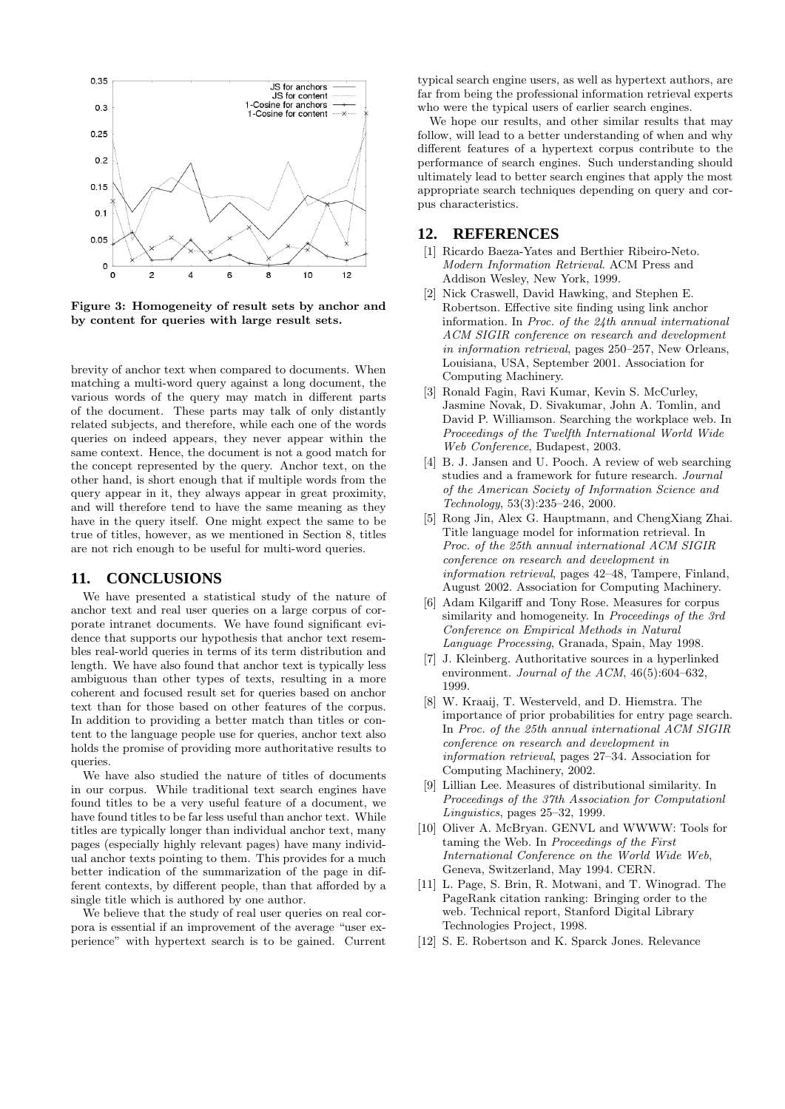

Figure 3: Homogeneity of result sets by anchor and by content for queries with large result sets.

brevity of anchor text when compared to documents. When matching a multi-word query against a long document, the various words of the query may match in different parts of the document. These parts may talk of only distantly related subjects, and therefore, while each one of the words queries on indeed appears, they never appear within the same context. Hence, the document is not a good match for the concept represented by the query. Anchor text, on the other hand, is short enough that if multiple words from the query appear in it, they always appear in great proximity, and will therefore tend to have the same meaning as they have in the query itself. One might expect the same to be true of titles, however, as we mentioned in Section 8, titles are not rich enough to be useful for multi-word queries.

## **11. CONCLUSIONS**

We have presented a statistical study of the nature of anchor text and real user queries on a large corpus of corporate intranet documents. We have found significant evidence that supports our hypothesis that anchor text resembles real-world queries in terms of its term distribution and length. We have also found that anchor text is typically less ambiguous than other types of texts, resulting in a more coherent and focused result set for queries based on anchor text than for those based on other features of the corpus. In addition to providing a better match than titles or content to the language people use for queries, anchor text also holds the promise of providing more authoritative results to queries.

We have also studied the nature of titles of documents in our corpus. While traditional text search engines have found titles to be a very useful feature of a document, we have found titles to be far less useful than anchor text. While titles are typically longer than individual anchor text, many pages (especially highly relevant pages) have many individual anchor texts pointing to them. This provides for a much better indication of the summarization of the page in different contexts, by different people, than that afforded by a single title which is authored by one author.

We believe that the study of real user queries on real corpora is essential if an improvement of the average "user experience" with hypertext search is to be gained. Current typical search engine users, as well as hypertext authors, are far from being the professional information retrieval experts who were the typical users of earlier search engines.

We hope our results, and other similar results that may follow, will lead to a better understanding of when and why different features of a hypertext corpus contribute to the performance of search engines. Such understanding should ultimately lead to better search engines that apply the most appropriate search techniques depending on query and corpus characteristics.

#### **12. REFERENCES**

- [1] Ricardo Baeza-Yates and Berthier Ribeiro-Neto. Modern Information Retrieval. ACM Press and Addison Wesley, New York, 1999.
- [2] Nick Craswell, David Hawking, and Stephen E. Robertson. Effective site finding using link anchor information. In Proc. of the 24th annual international ACM SIGIR conference on research and development in information retrieval, pages 250–257, New Orleans, Louisiana, USA, September 2001. Association for Computing Machinery.
- [3] Ronald Fagin, Ravi Kumar, Kevin S. McCurley, Jasmine Novak, D. Sivakumar, John A. Tomlin, and David P. Williamson. Searching the workplace web. In Proceedings of the Twelfth International World Wide Web Conference, Budapest, 2003.
- [4] B. J. Jansen and U. Pooch. A review of web searching studies and a framework for future research. Journal of the American Society of Information Science and Technology, 53(3):235–246, 2000.
- [5] Rong Jin, Alex G. Hauptmann, and ChengXiang Zhai. Title language model for information retrieval. In Proc. of the 25th annual international ACM SIGIR conference on research and development in information retrieval, pages 42–48, Tampere, Finland, August 2002. Association for Computing Machinery.
- [6] Adam Kilgariff and Tony Rose. Measures for corpus similarity and homogeneity. In Proceedings of the 3rd Conference on Empirical Methods in Natural Language Processing, Granada, Spain, May 1998.
- [7] J. Kleinberg. Authoritative sources in a hyperlinked environment. Journal of the ACM, 46(5):604–632, 1999.
- [8] W. Kraaij, T. Westerveld, and D. Hiemstra. The importance of prior probabilities for entry page search. In Proc. of the 25th annual international ACM SIGIR conference on research and development in information retrieval, pages 27–34. Association for Computing Machinery, 2002.
- [9] Lillian Lee. Measures of distributional similarity. In Proceedings of the 37th Association for Computationl Linguistics, pages 25–32, 1999.
- [10] Oliver A. McBryan. GENVL and WWWW: Tools for taming the Web. In Proceedings of the First International Conference on the World Wide Web, Geneva, Switzerland, May 1994. CERN.
- [11] L. Page, S. Brin, R. Motwani, and T. Winograd. The PageRank citation ranking: Bringing order to the web. Technical report, Stanford Digital Library Technologies Project, 1998.
- [12] S. E. Robertson and K. Sparck Jones. Relevance